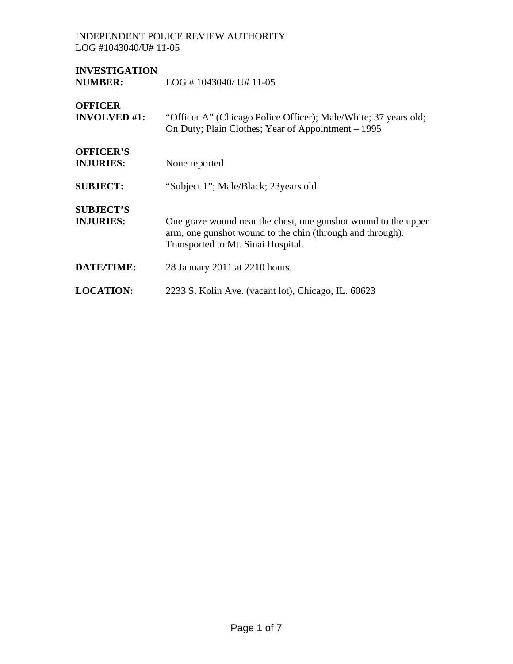## INDEPENDENT POLICE REVIEW AUTHORITY LOG #1043040/U# 11-05

| <b>INVESTIGATION</b><br><b>NUMBER:</b> | $LOG # 1043040 / U# 11-05$                                                                                                                                        |
|----------------------------------------|-------------------------------------------------------------------------------------------------------------------------------------------------------------------|
| <b>OFFICER</b><br><b>INVOLVED</b> #1:  | "Officer A" (Chicago Police Officer); Male/White; 37 years old;<br>On Duty; Plain Clothes; Year of Appointment – 1995                                             |
| <b>OFFICER'S</b><br><b>INJURIES:</b>   | None reported                                                                                                                                                     |
| <b>SUBJECT:</b>                        | "Subject 1"; Male/Black; 23 years old                                                                                                                             |
| <b>SUBJECT'S</b><br><b>INJURIES:</b>   | One graze wound near the chest, one gunshot wound to the upper<br>arm, one gunshot wound to the chin (through and through).<br>Transported to Mt. Sinai Hospital. |
| <b>DATE/TIME:</b>                      | 28 January 2011 at 2210 hours.                                                                                                                                    |
| <b>LOCATION:</b>                       | 2233 S. Kolin Ave. (vacant lot), Chicago, IL. 60623                                                                                                               |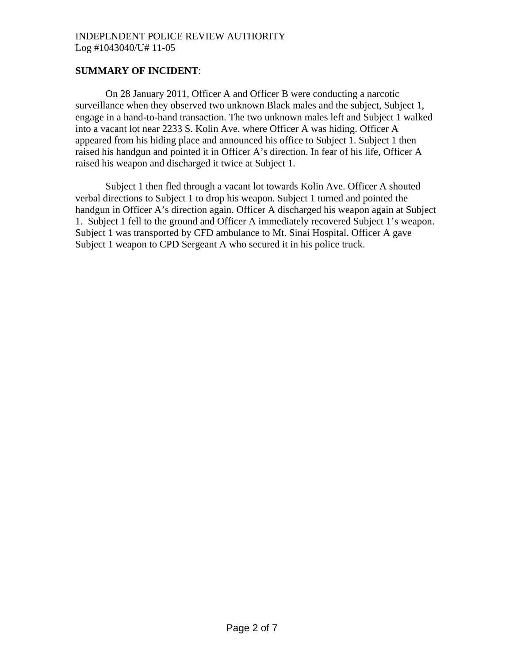# **SUMMARY OF INCIDENT**:

 On 28 January 2011, Officer A and Officer B were conducting a narcotic surveillance when they observed two unknown Black males and the subject, Subject 1, engage in a hand-to-hand transaction. The two unknown males left and Subject 1 walked into a vacant lot near 2233 S. Kolin Ave. where Officer A was hiding. Officer A appeared from his hiding place and announced his office to Subject 1. Subject 1 then raised his handgun and pointed it in Officer A's direction. In fear of his life, Officer A raised his weapon and discharged it twice at Subject 1.

 Subject 1 then fled through a vacant lot towards Kolin Ave. Officer A shouted verbal directions to Subject 1 to drop his weapon. Subject 1 turned and pointed the handgun in Officer A's direction again. Officer A discharged his weapon again at Subject 1. Subject 1 fell to the ground and Officer A immediately recovered Subject 1's weapon. Subject 1 was transported by CFD ambulance to Mt. Sinai Hospital. Officer A gave Subject 1 weapon to CPD Sergeant A who secured it in his police truck.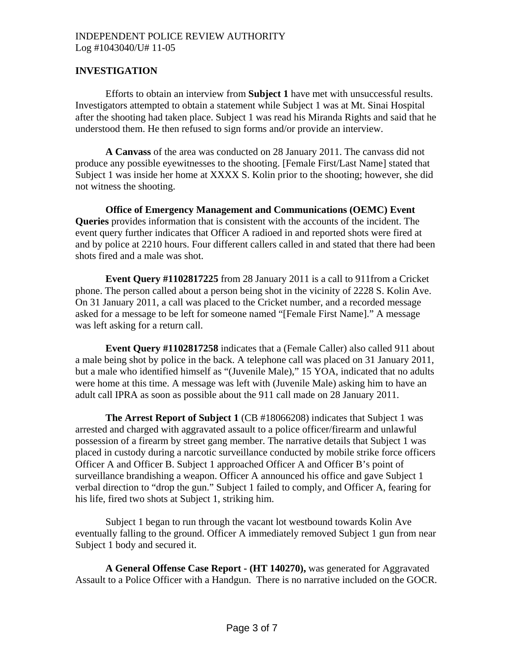## INDEPENDENT POLICE REVIEW AUTHORITY Log #1043040/U# 11-05

## **INVESTIGATION**

Efforts to obtain an interview from **Subject 1** have met with unsuccessful results. Investigators attempted to obtain a statement while Subject 1 was at Mt. Sinai Hospital after the shooting had taken place. Subject 1 was read his Miranda Rights and said that he understood them. He then refused to sign forms and/or provide an interview.

**A Canvass** of the area was conducted on 28 January 2011. The canvass did not produce any possible eyewitnesses to the shooting. [Female First/Last Name] stated that Subject 1 was inside her home at XXXX S. Kolin prior to the shooting; however, she did not witness the shooting.

**Office of Emergency Management and Communications (OEMC) Event Queries** provides information that is consistent with the accounts of the incident. The event query further indicates that Officer A radioed in and reported shots were fired at and by police at 2210 hours. Four different callers called in and stated that there had been shots fired and a male was shot.

**Event Query #1102817225** from 28 January 2011 is a call to 911from a Cricket phone. The person called about a person being shot in the vicinity of 2228 S. Kolin Ave. On 31 January 2011, a call was placed to the Cricket number, and a recorded message asked for a message to be left for someone named "[Female First Name]." A message was left asking for a return call.

**Event Query #1102817258** indicates that a (Female Caller) also called 911 about a male being shot by police in the back. A telephone call was placed on 31 January 2011, but a male who identified himself as "(Juvenile Male)," 15 YOA, indicated that no adults were home at this time. A message was left with (Juvenile Male) asking him to have an adult call IPRA as soon as possible about the 911 call made on 28 January 2011.

**The Arrest Report of Subject 1** (CB #18066208) indicates that Subject 1 was arrested and charged with aggravated assault to a police officer/firearm and unlawful possession of a firearm by street gang member. The narrative details that Subject 1 was placed in custody during a narcotic surveillance conducted by mobile strike force officers Officer A and Officer B. Subject 1 approached Officer A and Officer B's point of surveillance brandishing a weapon. Officer A announced his office and gave Subject 1 verbal direction to "drop the gun." Subject 1 failed to comply, and Officer A, fearing for his life, fired two shots at Subject 1, striking him.

Subject 1 began to run through the vacant lot westbound towards Kolin Ave eventually falling to the ground. Officer A immediately removed Subject 1 gun from near Subject 1 body and secured it.

**A General Offense Case Report - (HT 140270),** was generated for Aggravated Assault to a Police Officer with a Handgun. There is no narrative included on the GOCR.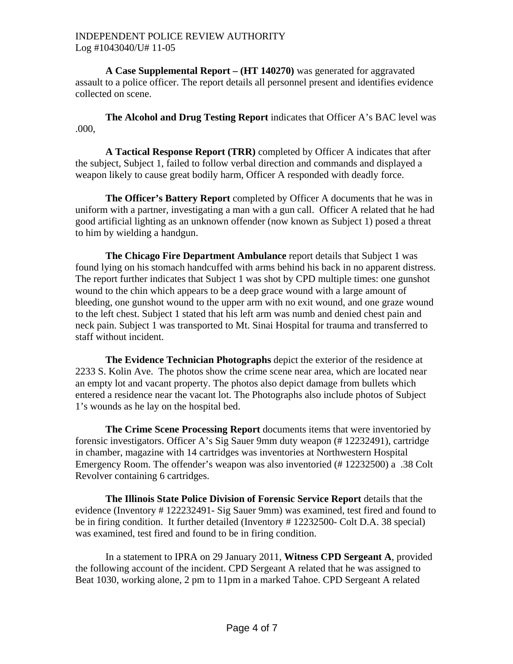**A Case Supplemental Report – (HT 140270)** was generated for aggravated assault to a police officer. The report details all personnel present and identifies evidence collected on scene.

**The Alcohol and Drug Testing Report** indicates that Officer A's BAC level was .000,

**A Tactical Response Report (TRR)** completed by Officer A indicates that after the subject, Subject 1, failed to follow verbal direction and commands and displayed a weapon likely to cause great bodily harm, Officer A responded with deadly force.

**The Officer's Battery Report** completed by Officer A documents that he was in uniform with a partner, investigating a man with a gun call. Officer A related that he had good artificial lighting as an unknown offender (now known as Subject 1) posed a threat to him by wielding a handgun.

**The Chicago Fire Department Ambulance** report details that Subject 1 was found lying on his stomach handcuffed with arms behind his back in no apparent distress. The report further indicates that Subject 1 was shot by CPD multiple times: one gunshot wound to the chin which appears to be a deep grace wound with a large amount of bleeding, one gunshot wound to the upper arm with no exit wound, and one graze wound to the left chest. Subject 1 stated that his left arm was numb and denied chest pain and neck pain. Subject 1 was transported to Mt. Sinai Hospital for trauma and transferred to staff without incident.

**The Evidence Technician Photographs** depict the exterior of the residence at 2233 S. Kolin Ave. The photos show the crime scene near area, which are located near an empty lot and vacant property. The photos also depict damage from bullets which entered a residence near the vacant lot. The Photographs also include photos of Subject 1's wounds as he lay on the hospital bed.

**The Crime Scene Processing Report** documents items that were inventoried by forensic investigators. Officer A's Sig Sauer 9mm duty weapon (# 12232491), cartridge in chamber, magazine with 14 cartridges was inventories at Northwestern Hospital Emergency Room. The offender's weapon was also inventoried (# 12232500) a .38 Colt Revolver containing 6 cartridges.

**The Illinois State Police Division of Forensic Service Report** details that the evidence (Inventory # 122232491- Sig Sauer 9mm) was examined, test fired and found to be in firing condition. It further detailed (Inventory # 12232500- Colt D.A. 38 special) was examined, test fired and found to be in firing condition.

 In a statement to IPRA on 29 January 2011, **Witness CPD Sergeant A**, provided the following account of the incident. CPD Sergeant A related that he was assigned to Beat 1030, working alone, 2 pm to 11pm in a marked Tahoe. CPD Sergeant A related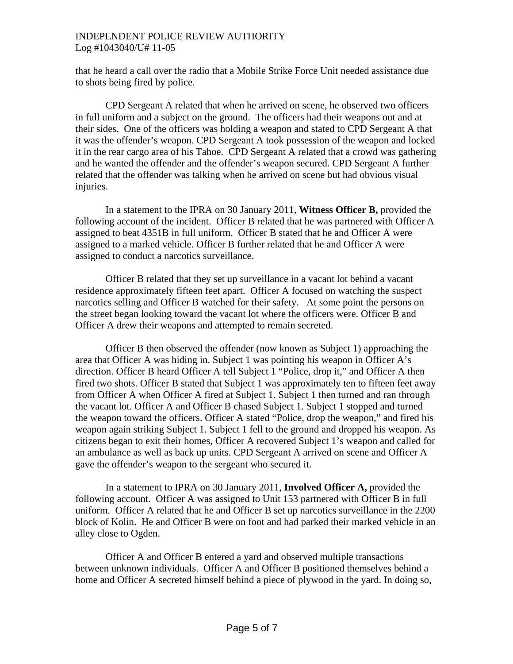### INDEPENDENT POLICE REVIEW AUTHORITY Log #1043040/U# 11-05

that he heard a call over the radio that a Mobile Strike Force Unit needed assistance due to shots being fired by police.

 CPD Sergeant A related that when he arrived on scene, he observed two officers in full uniform and a subject on the ground. The officers had their weapons out and at their sides. One of the officers was holding a weapon and stated to CPD Sergeant A that it was the offender's weapon. CPD Sergeant A took possession of the weapon and locked it in the rear cargo area of his Tahoe. CPD Sergeant A related that a crowd was gathering and he wanted the offender and the offender's weapon secured. CPD Sergeant A further related that the offender was talking when he arrived on scene but had obvious visual injuries.

 In a statement to the IPRA on 30 January 2011, **Witness Officer B,** provided the following account of the incident. Officer B related that he was partnered with Officer A assigned to beat 4351B in full uniform. Officer B stated that he and Officer A were assigned to a marked vehicle. Officer B further related that he and Officer A were assigned to conduct a narcotics surveillance.

Officer B related that they set up surveillance in a vacant lot behind a vacant residence approximately fifteen feet apart. Officer A focused on watching the suspect narcotics selling and Officer B watched for their safety. At some point the persons on the street began looking toward the vacant lot where the officers were. Officer B and Officer A drew their weapons and attempted to remain secreted.

Officer B then observed the offender (now known as Subject 1) approaching the area that Officer A was hiding in. Subject 1 was pointing his weapon in Officer A's direction. Officer B heard Officer A tell Subject 1 "Police, drop it," and Officer A then fired two shots. Officer B stated that Subject 1 was approximately ten to fifteen feet away from Officer A when Officer A fired at Subject 1. Subject 1 then turned and ran through the vacant lot. Officer A and Officer B chased Subject 1. Subject 1 stopped and turned the weapon toward the officers. Officer A stated "Police, drop the weapon," and fired his weapon again striking Subject 1. Subject 1 fell to the ground and dropped his weapon. As citizens began to exit their homes, Officer A recovered Subject 1's weapon and called for an ambulance as well as back up units. CPD Sergeant A arrived on scene and Officer A gave the offender's weapon to the sergeant who secured it.

In a statement to IPRA on 30 January 2011, **Involved Officer A,** provided the following account. Officer A was assigned to Unit 153 partnered with Officer B in full uniform. Officer A related that he and Officer B set up narcotics surveillance in the 2200 block of Kolin. He and Officer B were on foot and had parked their marked vehicle in an alley close to Ogden.

 Officer A and Officer B entered a yard and observed multiple transactions between unknown individuals. Officer A and Officer B positioned themselves behind a home and Officer A secreted himself behind a piece of plywood in the yard. In doing so,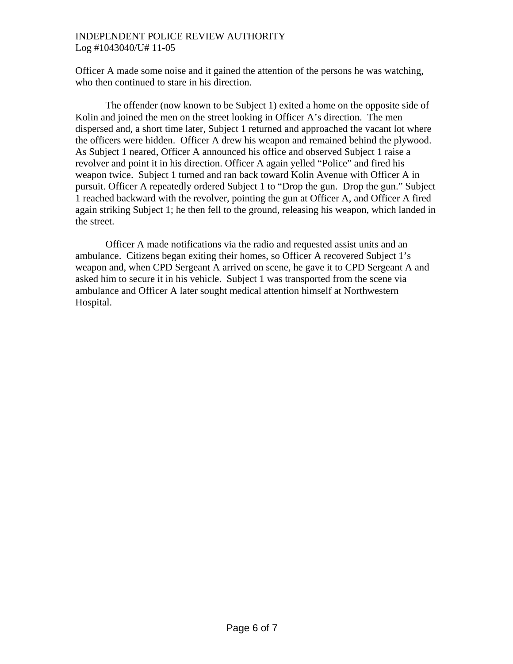### INDEPENDENT POLICE REVIEW AUTHORITY Log #1043040/U# 11-05

Officer A made some noise and it gained the attention of the persons he was watching, who then continued to stare in his direction.

 The offender (now known to be Subject 1) exited a home on the opposite side of Kolin and joined the men on the street looking in Officer A's direction. The men dispersed and, a short time later, Subject 1 returned and approached the vacant lot where the officers were hidden. Officer A drew his weapon and remained behind the plywood. As Subject 1 neared, Officer A announced his office and observed Subject 1 raise a revolver and point it in his direction. Officer A again yelled "Police" and fired his weapon twice. Subject 1 turned and ran back toward Kolin Avenue with Officer A in pursuit. Officer A repeatedly ordered Subject 1 to "Drop the gun. Drop the gun." Subject 1 reached backward with the revolver, pointing the gun at Officer A, and Officer A fired again striking Subject 1; he then fell to the ground, releasing his weapon, which landed in the street.

 Officer A made notifications via the radio and requested assist units and an ambulance. Citizens began exiting their homes, so Officer A recovered Subject 1's weapon and, when CPD Sergeant A arrived on scene, he gave it to CPD Sergeant A and asked him to secure it in his vehicle. Subject 1 was transported from the scene via ambulance and Officer A later sought medical attention himself at Northwestern Hospital.